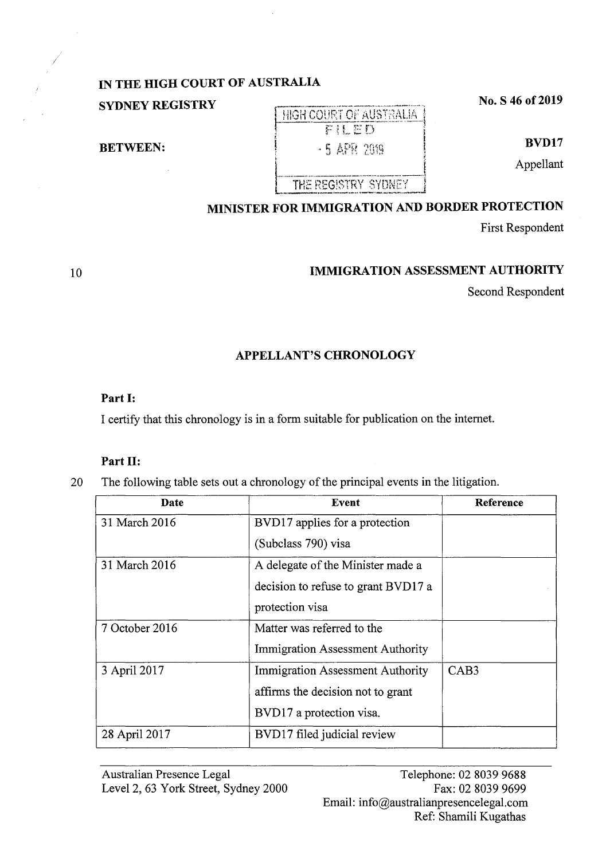## **IN THE HIGH COURT OF AUSTRALIA**

**SYDNEY REGISTRY No. S 46 of 2019 No. S 46 of 2019** 

**BETWEEN:** 

**BVD17** 

Appellant

# **MINISTER FOR IMMIGRATION AND BORDER PROTECTION**

FILED - 5 APR 2019

THE REGISTRY SYDNEY

First Respondent

### **IMMIGRATION ASSESSMENT AUTHORITY**

Second Respondent

### **APPELLANT'S CHRONOLOGY**

### **Part I:**

I certify that this chronology is in a form suitable for publication on the internet.

### **Part II:**

20 The following table sets out a chronology of the principal events in the litigation.

| Date           | Event                                   | Reference        |
|----------------|-----------------------------------------|------------------|
| 31 March 2016  | BVD17 applies for a protection          |                  |
|                | (Subclass 790) visa                     |                  |
| 31 March 2016  | A delegate of the Minister made a       |                  |
|                | decision to refuse to grant BVD17 a     |                  |
|                | protection visa                         |                  |
| 7 October 2016 | Matter was referred to the              |                  |
|                | <b>Immigration Assessment Authority</b> |                  |
| 3 April 2017   | <b>Immigration Assessment Authority</b> | CAB <sub>3</sub> |
|                | affirms the decision not to grant       |                  |
|                | BVD17 a protection visa.                |                  |
| 28 April 2017  | BVD17 filed judicial review             |                  |

10

*I*